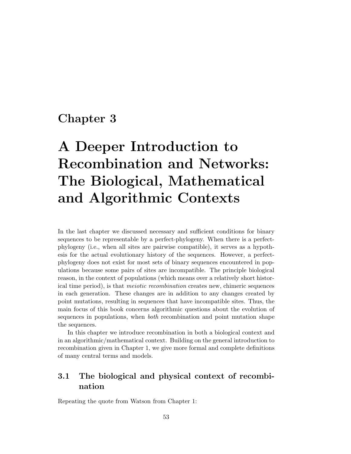# Chapter 3

# A Deeper Introduction to Recombination and Networks: The Biological, Mathematical and Algorithmic Contexts

In the last chapter we discussed necessary and sufficient conditions for binary sequences to be representable by a perfect-phylogeny. When there is a perfectphylogeny (i.e., when all sites are pairwise compatible), it serves as a hypothesis for the actual evolutionary history of the sequences. However, a perfectphylogeny does not exist for most sets of binary sequences encountered in populations because some pairs of sites are incompatible. The principle biological reason, in the context of populations (which means over a relatively short historical time period), is that meiotic recombination creates new, chimeric sequences in each generation. These changes are in addition to any changes created by point mutations, resulting in sequences that have incompatible sites. Thus, the main focus of this book concerns algorithmic questions about the evolution of sequences in populations, when both recombination and point mutation shape the sequences.

In this chapter we introduce recombination in both a biological context and in an algorithmic/mathematical context. Building on the general introduction to recombination given in Chapter 1, we give more formal and complete definitions of many central terms and models.

### 3.1 The biological and physical context of recombination

Repeating the quote from Watson from Chapter 1: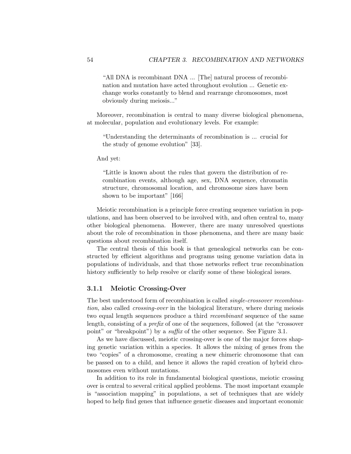"All DNA is recombinant DNA ... [The] natural process of recombination and mutation have acted throughout evolution ... Genetic exchange works constantly to blend and rearrange chromosomes, most obviously during meiosis..."

Moreover, recombination is central to many diverse biological phenomena, at molecular, population and evolutionary levels. For example:

"Understanding the determinants of recombination is ... crucial for the study of genome evolution" [33].

And yet:

"Little is known about the rules that govern the distribution of recombination events, although age, sex, DNA sequence, chromatin structure, chromosomal location, and chromosome sizes have been shown to be important" [166]

Meiotic recombination is a principle force creating sequence variation in populations, and has been observed to be involved with, and often central to, many other biological phenomena. However, there are many unresolved questions about the role of recombination in those phenomena, and there are many basic questions about recombination itself.

The central thesis of this book is that genealogical networks can be constructed by efficient algorithms and programs using genome variation data in populations of individuals, and that those networks reflect true recombination history sufficiently to help resolve or clarify some of these biological issues.

#### 3.1.1 Meiotic Crossing-Over

The best understood form of recombination is called single-crossover recombination, also called crossing-over in the biological literature, where during meiosis two equal length sequences produce a third recombinant sequence of the same length, consisting of a prefix of one of the sequences, followed (at the "crossover point" or "breakpoint") by a suffix of the other sequence. See Figure 3.1.

As we have discussed, meiotic crossing-over is one of the major forces shaping genetic variation within a species. It allows the mixing of genes from the two "copies" of a chromosome, creating a new chimeric chromosome that can be passed on to a child, and hence it allows the rapid creation of hybrid chromosomes even without mutations.

In addition to its role in fundamental biological questions, meiotic crossing over is central to several critical applied problems. The most important example is "association mapping" in populations, a set of techniques that are widely hoped to help find genes that influence genetic diseases and important economic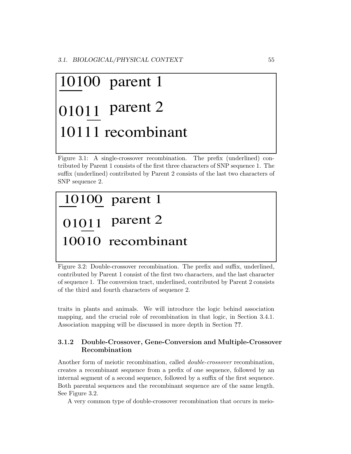# 01011 parent 2 10100 parent 1 10111 recombinant

Figure 3.1: A single-crossover recombination. The prefix (underlined) contributed by Parent 1 consists of the first three characters of SNP sequence 1. The suffix (underlined) contributed by Parent 2 consists of the last two characters of SNP sequence 2.

# 10010 recombinant 10100 parent 1 0101<sub>1</sub> parent 2

Figure 3.2: Double-crossover recombination. The prefix and suffix, underlined, contributed by Parent 1 consist of the first two characters, and the last character of sequence 1. The conversion tract, underlined, contributed by Parent 2 consists of the third and fourth characters of sequence 2.

traits in plants and animals. We will introduce the logic behind association mapping, and the crucial role of recombination in that logic, in Section 3.4.1. Association mapping will be discussed in more depth in Section ??.

### 3.1.2 Double-Crossover, Gene-Conversion and Multiple-Crossover Recombination

Another form of meiotic recombination, called double-crossover recombination, creates a recombinant sequence from a prefix of one sequence, followed by an internal segment of a second sequence, followed by a suffix of the first sequence. Both parental sequences and the recombinant sequence are of the same length. See Figure 3.2.

A very common type of double-crossover recombination that occurs in meio-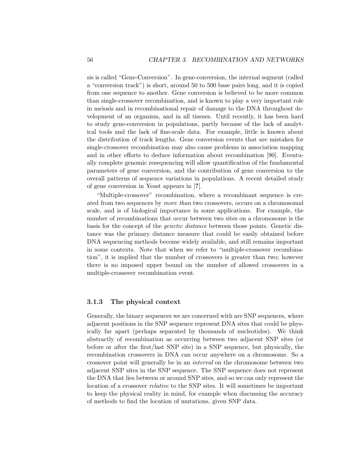sis is called "Gene-Conversion". In gene-conversion, the internal segment (called a "conversion track") is short, around 50 to 500 base pairs long, and it is copied from one sequence to another. Gene conversion is believed to be more common than single-crossover recombination, and is known to play a very important role in meiosis and in recombinational repair of damage to the DNA throughout development of an organism, and in all tissues. Until recently, it has been hard to study gene-conversion in populations, partly because of the lack of analytical tools and the lack of fine-scale data. For example, little is known about the distribution of track lengths. Gene conversion events that are mistaken for single-crossover recombination may also cause problems in association mapping and in other efforts to deduce information about recombination [90]. Eventually complete genomic resequencing will allow quantification of the fundamental parameters of gene conversion, and the contribution of gene conversion to the overall patterns of sequence variations in populations. A recent detailed study of gene conversion in Yeast appears in [?].

"Multiple-crossover" recombination, where a recombinant sequence is created from two sequences by more than two crossovers, occurs on a chromosomal scale, and is of biological importance in some applications. For example, the number of recombinations that occur between two sites on a chromosome is the basis for the concept of the genetic distance between those points. Genetic distance was the primary distance measure that could be easily obtained before DNA sequencing methods become widely available, and still remains important in some contexts. Note that when we refer to "multiple-crossover recombination", it is implied that the number of crossovers is greater than two; however there is no imposed upper bound on the number of allowed crossovers in a multiple-crossover recombination event.

#### 3.1.3 The physical context

Generally, the binary sequences we are concerned with are SNP sequences, where adjacent positions in the SNP sequence represent DNA sites that could be physically far apart (perhaps separated by thousands of nucleotides). We think abstractly of recombination as occurring between two adjacent SNP sites (or before or after the first/last SNP site) in a SNP sequence, but physically, the recombination crossovers in DNA can occur anywhere on a chromosome. So a crossover point will generally be in an interval on the chromosome between two adjacent SNP sites in the SNP sequence. The SNP sequence does not represent the DNA that lies between or around SNP sites, and so we can only represent the location of a crossover relative to the SNP sites. It will sometimes be important to keep the physical reality in mind, for example when discussing the accuracy of methods to find the location of mutations, given SNP data.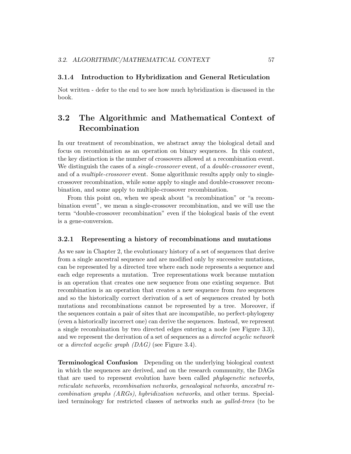#### 3.1.4 Introduction to Hybridization and General Reticulation

Not written - defer to the end to see how much hybridization is discussed in the book.

# 3.2 The Algorithmic and Mathematical Context of Recombination

In our treatment of recombination, we abstract away the biological detail and focus on recombination as an operation on binary sequences. In this context, the key distinction is the number of crossovers allowed at a recombination event. We distinguish the cases of a *single-crossover* event, of a *double-crossover* event, and of a multiple-crossover event. Some algorithmic results apply only to singlecrossover recombination, while some apply to single and double-crossover recombination, and some apply to multiple-crossover recombination.

From this point on, when we speak about "a recombination" or "a recombination event", we mean a single-crossover recombination, and we will use the term "double-crossover recombination" even if the biological basis of the event is a gene-conversion.

#### 3.2.1 Representing a history of recombinations and mutations

As we saw in Chapter 2, the evolutionary history of a set of sequences that derive from a single ancestral sequence and are modified only by successive mutations, can be represented by a directed tree where each node represents a sequence and each edge represents a mutation. Tree representations work because mutation is an operation that creates one new sequence from one existing sequence. But recombination is an operation that creates a new sequence from two sequences and so the historically correct derivation of a set of sequences created by both mutations and recombinations cannot be represented by a tree. Moreover, if the sequences contain a pair of sites that are incompatible, no perfect-phylogeny (even a historically incorrect one) can derive the sequences. Instead, we represent a single recombination by two directed edges entering a node (see Figure 3.3), and we represent the derivation of a set of sequences as a directed acyclic network or a directed acyclic graph (DAG) (see Figure 3.4).

Terminological Confusion Depending on the underlying biological context in which the sequences are derived, and on the research community, the DAGs that are used to represent evolution have been called phylogenetic networks, reticulate networks, recombination networks, genealogical networks, ancestral recombination graphs (ARGs), hybridization networks, and other terms. Specialized terminology for restricted classes of networks such as galled-trees (to be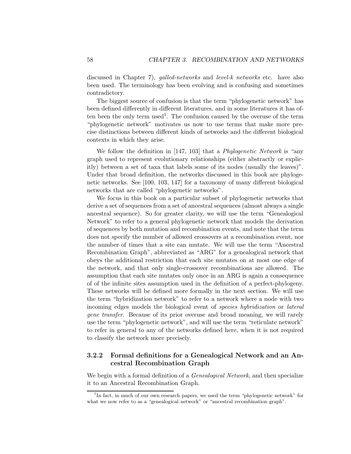discussed in Chapter 7), *galled-networks* and *level-k networks* etc. have also been used. The terminology has been evolving and is confusing and sometimes contradictory.

The biggest source of confusion is that the term "phylogenetic network" has been defined differently in different literatures, and in some literatures it has often been the only term used<sup>1</sup>. The confusion caused by the overuse of the term "phylogenetic network" motivates us now to use terms that make more precise distinctions between different kinds of networks and the different biological contexts in which they arise.

We follow the definition in [147, 103] that a *Phylogenetic Network* is "any graph used to represent evolutionary relationships (either abstractly or explicitly) between a set of taxa that labels some of its nodes (usually the leaves)". Under that broad definition, the networks discussed in this book are phylogenetic networks. See [100, 103, 147] for a taxonomy of many different biological networks that are called "phylogenetic networks".

We focus in this book on a particular subset of phylogenetic networks that derive a set of sequences from a set of ancestral sequences (almost always a single ancestral sequence). So for greater clarity, we will use the term "Genealogical Network" to refer to a general phylogenetic network that models the derivation of sequences by both mutation and recombination events, and note that the term does not specify the number of allowed crossovers at a recombination event, nor the number of times that a site can mutate. We will use the term "Ancestral Recombination Graph", abbreviated as "ARG" for a genealogical network that obeys the additional restriction that each site mutates on at most one edge of the network, and that only single-crossover recombinations are allowed. The assumption that each site mutates only once in an ARG is again a consequence of of the infinite sites assumption used in the definition of a perfect-phylogeny. These networks will be defined more formally in the next section. We will use the term "hybridization network" to refer to a network where a node with two incoming edges models the biological event of species hybridization or lateral gene transfer. Because of its prior overuse and broad meaning, we will rarely use the term "phylogenetic network", and will use the term "reticulate network" to refer in general to any of the networks defined here, when it is not required to classify the network more precisely.

#### 3.2.2 Formal definitions for a Genealogical Network and an Ancestral Recombination Graph

We begin with a formal definition of a *Genealogical Network*, and then specialize it to an Ancestral Recombination Graph.

<sup>&</sup>lt;sup>1</sup>In fact, in much of our own research papers, we used the term "phylogenetic network" for what we now refer to as a "genealogical network" or "ancestral recombination graph".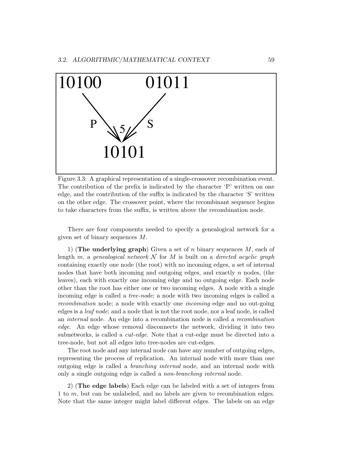

Figure 3.3: A graphical representation of a single-crossover recombination event. The contribution of the prefix is indicated by the character 'P' written on one edge, and the contribution of the suffix is indicated by the character 'S' written on the other edge. The crossover point, where the recombinant sequence begins to take characters from the suffix, is written above the recombination node.

There are four components needed to specify a genealogical network for a given set of binary sequences M.

1) (The underlying graph) Given a set of n binary sequences  $M$ , each of length m, a genealogical network  $N$  for M is built on a directed acyclic graph containing exactly one node (the root) with no incoming edges, a set of internal nodes that have both incoming and outgoing edges, and exactly  $n$  nodes, (the leaves), each with exactly one incoming edge and no outgoing edge. Each node other than the root has either one or two incoming edges. A node with a single incoming edge is called a tree-node; a node with two incoming edges is called a recombination node; a node with exactly one incoming edge and no out-going edges is a leaf node; and a node that is not the root node, nor a leaf node, is called an internal node. An edge into a recombination node is called a recombination edge. An edge whose removal disconnects the network, dividing it into two subnetworks, is called a cut-edge. Note that a cut-edge must be directed into a tree-node, but not all edges into tree-nodes are cut-edges.

The root node and any internal node can have any number of outgoing edges, representing the process of replication. An internal node with more than one outgoing edge is called a branching internal node, and an internal node with only a single outgoing edge is called a non-branching internal node.

2) (The edge labels) Each edge can be labeled with a set of integers from 1 to m, but can be unlabeled, and no labels are given to recombination edges. Note that the same integer might label different edges. The labels on an edge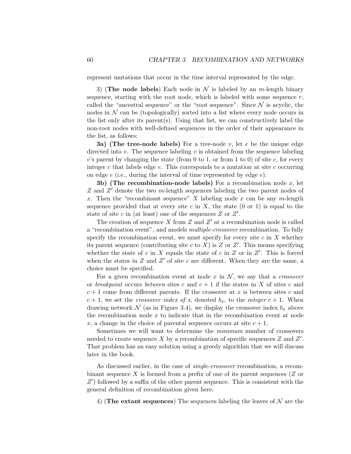represent mutations that occur in the time interval represented by the edge.

3) (The node labels) Each node in  $\mathcal N$  is labeled by an *m*-length binary sequence, starting with the root node, which is labeled with some sequence  $r$ , called the "ancestral sequence" or the "root sequence". Since  $\mathcal N$  is acyclic, the nodes in  $\mathcal N$  can be (topologically) sorted into a list where every node occurs in the list only after its parent(s). Using that list, we can constructively label the non-root nodes with well-defined sequences in the order of their appearance in the list, as follows:

**3a)** (The tree-node labels) For a tree-node v, let e be the unique edge directed into  $v$ . The sequence labeling  $v$  is obtained from the sequence labeling v's parent by changing the state (from 0 to 1, or from 1 to 0) of site c, for every integer  $c$  that labels edge  $e$ . This corresponds to a mutation at site  $c$  occurring on edge  $e$  (i.e., during the interval of time represented by edge  $e$ ).

3b) (The recombination-node labels) For a recombination node  $x$ , let  $Z$  and  $Z'$  denote the two m-length sequences labeling the two parent nodes of x. Then the "recombinant sequence"  $X$  labeling node  $x$  can be any m-length sequence provided that at every site c in X, the state  $(0 \text{ or } 1)$  is equal to the state of site  $c$  in (at least) one of the sequences  $Z$  or  $Z'$ .

The creation of sequence X from Z and  $Z'$  at a recombination node is called a "recombination event", and models multiple-crossover recombination. To fully specify the recombination event, we must specify for every site  $c$  in  $X$  whether its parent sequence (contributing site c to X) is  $Z$  or  $Z'$ . This means specifying whether the state of c in X equals the state of c in Z or in  $Z'$ . This is forced when the states in  $Z$  and  $Z'$  of site c are different. When they are the same, a choice must be specified.

For a given recombination event at node x in  $\mathcal{N}$ , we say that a *crossover* or breakpoint occurs between sites c and  $c + 1$  if the states in X of sites c and  $c+1$  come from different parents. If the crossover at x is between sites c and  $c + 1$ , we set the *crossover index of x*, denoted  $b_x$ , to the *integer*  $c + 1$ . When drawing network  $\mathcal N$  (as in Figure 3.4), we display the crossover index  $b_x$  above the recombination node  $x$  to indicate that in the recombination event at node x, a change in the choice of parental sequence occurs at site  $c + 1$ .

Sometimes we will want to determine the minimum number of crossovers needed to create sequence X by a recombination of specific sequences  $Z$  and  $Z'$ . That problem has an easy solution using a greedy algorithm that we will discuss later in the book.

As discussed earlier, in the case of *single-crossover* recombination, a recombinant sequence X is formed from a prefix of one of its parent sequences  $(Z \text{ or } Z)$  $Z'$ ) followed by a suffix of the other parent sequence. This is consistent with the general definition of recombination given here.

4) (The extant sequences) The sequences labeling the leaves of  $\mathcal N$  are the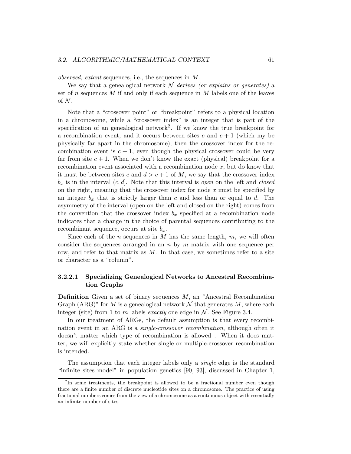observed, extant sequences, i.e., the sequences in M.

We say that a genealogical network  $\mathcal N$  derives (or explains or generates) a set of n sequences  $M$  if and only if each sequence in  $M$  labels one of the leaves of  $N$ .

Note that a "crossover point" or "breakpoint" refers to a physical location in a chromosome, while a "crossover index" is an integer that is part of the specification of an genealogical network<sup>2</sup>. If we know the true breakpoint for a recombination event, and it occurs between sites c and  $c + 1$  (which my be physically far apart in the chromosome), then the crossover index for the recombination event is  $c + 1$ , even though the physical crossover could be very far from site  $c + 1$ . When we don't know the exact (physical) breakpoint for a recombination event associated with a recombination node x, but do know that it must be between sites c and  $d>c+1$  of M, we say that the crossover index  $b_x$  is in the interval  $(c, d]$ . Note that this interval is open on the left and closed on the right, meaning that the crossover index for node  $x$  must be specified by an integer  $b_x$  that is strictly larger than c and less than or equal to d. The asymmetry of the interval (open on the left and closed on the right) comes from the convention that the crossover index  $b_x$  specified at a recombination node indicates that a change in the choice of parental sequences contributing to the recombinant sequence, occurs at site  $b_x$ .

Since each of the *n* sequences in  $M$  has the same length,  $m$ , we will often consider the sequences arranged in an  $n$  by  $m$  matrix with one sequence per row, and refer to that matrix as  $M$ . In that case, we sometimes refer to a site or character as a "column".

#### 3.2.2.1 Specializing Genealogical Networks to Ancestral Recombination Graphs

**Definition** Given a set of binary sequences  $M$ , an "Ancestral Recombination Graph (ARG)" for M is a genealogical network  $\mathcal N$  that generates M, where each integer (site) from 1 to m labels exactly one edge in  $N$ . See Figure 3.4.

In our treatment of ARGs, the default assumption is that every recombination event in an ARG is a single-crossover recombination, although often it doesn't matter which type of recombination is allowed . When it does matter, we will explicitly state whether single or multiple-crossover recombination is intended.

The assumption that each integer labels only a single edge is the standard "infinite sites model" in population genetics [90, 93], discussed in Chapter 1,

<sup>&</sup>lt;sup>2</sup>In some treatments, the breakpoint is allowed to be a fractional number even though there are a finite number of discrete nucleotide sites on a chromosome. The practice of using fractional numbers comes from the view of a chromosome as a continuous object with essentially an infinite number of sites.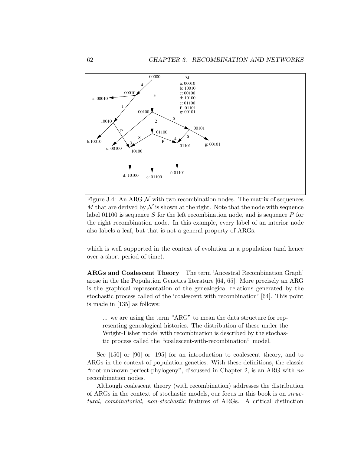

Figure 3.4: An ARG  $\mathcal N$  with two recombination nodes. The matrix of sequences M that are derived by  $\mathcal N$  is shown at the right. Note that the node with sequence label 01100 is sequence S for the left recombination node, and is sequence P for the right recombination node. In this example, every label of an interior node also labels a leaf, but that is not a general property of ARGs.

which is well supported in the context of evolution in a population (and hence over a short period of time).

ARGs and Coalescent Theory The term 'Ancestral Recombination Graph' arose in the the Population Genetics literature [64, 65]. More precisely an ARG is the graphical representation of the genealogical relations generated by the stochastic process called of the 'coalescent with recombination' [64]. This point is made in [135] as follows:

... we are using the term "ARG" to mean the data structure for representing genealogical histories. The distribution of these under the Wright-Fisher model with recombination is described by the stochastic process called the "coalescent-with-recombination" model.

See [150] or [90] or [195] for an introduction to coalescent theory, and to ARGs in the context of population genetics. With these definitions, the classic "root-unknown perfect-phylogeny", discussed in Chapter 2, is an ARG with no recombination nodes.

Although coalescent theory (with recombination) addresses the distribution of ARGs in the context of stochastic models, our focus in this book is on structural, combinatorial, non-stochastic features of ARGs. A critical distinction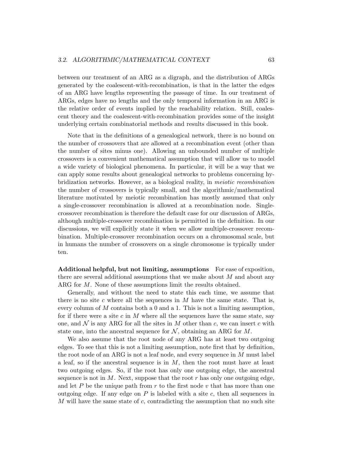between our treatment of an ARG as a digraph, and the distribution of ARGs generated by the coalescent-with-recombination, is that in the latter the edges of an ARG have lengths representing the passage of time. In our treatment of ARGs, edges have no lengths and the only temporal information in an ARG is the relative order of events implied by the reachability relation. Still, coalescent theory and the coalescent-with-recombination provides some of the insight underlying certain combinatorial methods and results discussed in this book.

Note that in the definitions of a genealogical network, there is no bound on the number of crossovers that are allowed at a recombination event (other than the number of sites minus one). Allowing an unbounded number of multiple crossovers is a convenient mathematical assumption that will allow us to model a wide variety of biological phenomena. In particular, it will be a way that we can apply some results about genealogical networks to problems concerning hybridization networks. However, as a biological reality, in meiotic recombination the number of crossovers is typically small, and the algorithmic/mathematical literature motivated by meiotic recombination has mostly assumed that only a single-crossover recombination is allowed at a recombination node. Singlecrossover recombination is therefore the default case for our discussion of ARGs, although multiple-crossover recombination is permitted in the definition. In our discussions, we will explicitly state it when we allow multiple-crossover recombination. Multiple-crossover recombination occurs on a chromosomal scale, but in humans the number of crossovers on a single chromosome is typically under ten.

Additional helpful, but not limiting, assumptions For ease of exposition, there are several additional assumptions that we make about  $M$  and about any ARG for M. None of these assumptions limit the results obtained.

Generally, and without the need to state this each time, we assume that there is no site c where all the sequences in  $M$  have the same state. That is, every column of  $M$  contains both a 0 and a 1. This is not a limiting assumption, for if there were a site c in M where all the sequences have the same state, say one, and  $\mathcal N$  is any ARG for all the sites in  $M$  other than c, we can insert c with state one, into the ancestral sequence for  $N$ , obtaining an ARG for  $M$ .

We also assume that the root node of any ARG has at least two outgoing edges. To see that this is not a limiting assumption, note first that by definition, the root node of an ARG is not a leaf node, and every sequence in M must label a leaf, so if the ancestral sequence is in  $M$ , then the root must have at least two outgoing edges. So, if the root has only one outgoing edge, the ancestral sequence is not in  $M$ . Next, suppose that the root  $r$  has only one outgoing edge, and let P be the unique path from  $r$  to the first node  $v$  that has more than one outgoing edge. If any edge on  $P$  is labeled with a site  $c$ , then all sequences in M will have the same state of c, contradicting the assumption that no such site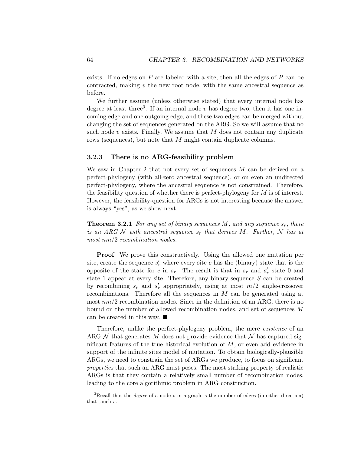exists. If no edges on  $P$  are labeled with a site, then all the edges of  $P$  can be contracted, making v the new root node, with the same ancestral sequence as before.

We further assume (unless otherwise stated) that every internal node has degree at least three<sup>3</sup>. If an internal node  $v$  has degree two, then it has one incoming edge and one outgoing edge, and these two edges can be merged without changing the set of sequences generated on the ARG. So we will assume that no such node  $v$  exists. Finally, We assume that  $M$  does not contain any duplicate rows (sequences), but note that M might contain duplicate columns.

#### 3.2.3 There is no ARG-feasibility problem

We saw in Chapter 2 that not every set of sequences  $M$  can be derived on a perfect-phylogeny (with all-zero ancestral sequence), or on even an undirected perfect-phylogeny, where the ancestral sequence is not constrained. Therefore, the feasibility question of whether there is perfect-phylogeny for M is of interest. However, the feasibility-question for ARGs is not interesting because the answer is always "yes", as we show next.

**Theorem 3.2.1** For any set of binary sequences M, and any sequence  $s_r$ , there is an ARG N with ancestral sequence  $s_r$  that derives M. Further, N has at most  $nm/2$  recombination nodes.

**Proof** We prove this constructively. Using the allowed one mutation per site, create the sequence  $s'_{r}$  where every site c has the (binary) state that is the opposite of the state for c in  $s_r$ . The result is that in  $s_r$  and  $s'_r$  state 0 and state 1 appear at every site. Therefore, any binary sequence  $S$  can be created by recombining  $s_r$  and  $s'_r$  appropriately, using at most  $m/2$  single-crossover recombinations. Therefore all the sequences in  $M$  can be generated using at most  $nm/2$  recombination nodes. Since in the definition of an ARG, there is no bound on the number of allowed recombination nodes, and set of sequences M can be created in this way.

Therefore, unlike the perfect-phylogeny problem, the mere *existence* of an ARG  $N$  that generates M does not provide evidence that N has captured significant features of the true historical evolution of  $M$ , or even add evidence in support of the infinite sites model of mutation. To obtain biologically-plausible ARGs, we need to constrain the set of ARGs we produce, to focus on significant properties that such an ARG must poses. The most striking property of realistic ARGs is that they contain a relatively small number of recombination nodes, leading to the core algorithmic problem in ARG construction.

<sup>&</sup>lt;sup>3</sup>Recall that the *degree* of a node v in a graph is the number of edges (in either direction) that touch  $v$ .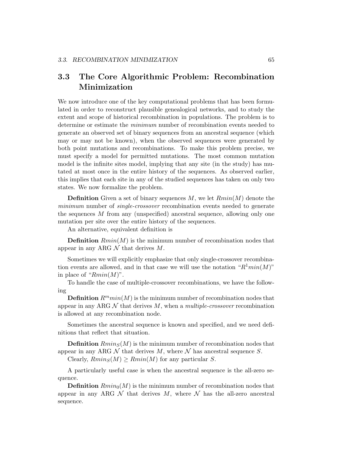# 3.3 The Core Algorithmic Problem: Recombination Minimization

We now introduce one of the key computational problems that has been formulated in order to reconstruct plausible genealogical networks, and to study the extent and scope of historical recombination in populations. The problem is to determine or estimate the minimum number of recombination events needed to generate an observed set of binary sequences from an ancestral sequence (which may or may not be known), when the observed sequences were generated by both point mutations and recombinations. To make this problem precise, we must specify a model for permitted mutations. The most common mutation model is the infinite sites model, implying that any site (in the study) has mutated at most once in the entire history of the sequences. As observed earlier, this implies that each site in any of the studied sequences has taken on only two states. We now formalize the problem.

**Definition** Given a set of binary sequences  $M$ , we let  $Rmin(M)$  denote the minimum number of *single-crossover* recombination events needed to generate the sequences M from any (unspecified) ancestral sequence, allowing only one mutation per site over the entire history of the sequences.

An alternative, equivalent definition is

**Definition**  $Rmin(M)$  is the minimum number of recombination nodes that appear in any ARG  $\mathcal N$  that derives  $M$ .

Sometimes we will explicitly emphasize that only single-crossover recombination events are allowed, and in that case we will use the notation " $R^1min(M)$ " in place of " $Rmin(M)$ ".

To handle the case of multiple-crossover recombinations, we have the following

**Definition**  $R^{m}min(M)$  is the minimum number of recombination nodes that appear in any ARG  $N$  that derives  $M$ , when a *multiple-crossover* recombination is allowed at any recombination node.

Sometimes the ancestral sequence is known and specified, and we need definitions that reflect that situation.

**Definition**  $Rmin_S(M)$  is the minimum number of recombination nodes that appear in any ARG  $N$  that derives  $M$ , where  $N$  has ancestral sequence  $S$ .

Clearly,  $Rmin_S(M) \geq Rmin(M)$  for any particular S.

A particularly useful case is when the ancestral sequence is the all-zero sequence.

**Definition**  $Rmin_0(M)$  is the minimum number of recombination nodes that appear in any ARG  $\mathcal N$  that derives  $M$ , where  $\mathcal N$  has the all-zero ancestral sequence.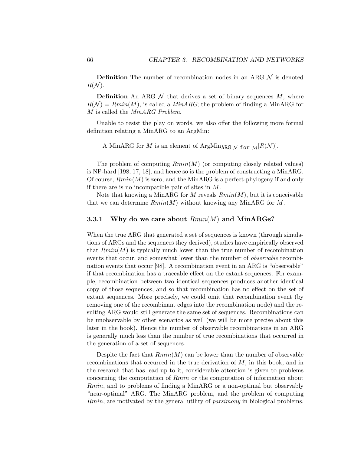**Definition** The number of recombination nodes in an ARG  $\mathcal N$  is denoted  $R(N)$ .

**Definition** An ARG  $\mathcal N$  that derives a set of binary sequences  $M$ , where  $R(\mathcal{N}) = Rmin(M)$ , is called a  $MinARG$ ; the problem of finding a MinARG for M is called the MinARG Problem.

Unable to resist the play on words, we also offer the following more formal definition relating a MinARG to an ArgMin:

A MinARG for M is an element of ArgMin<sub>ARG</sub>  $_N$  for  $M[R(N)]$ .

The problem of computing  $Rmin(M)$  (or computing closely related values) is NP-hard [198, 17, 18], and hence so is the problem of constructing a MinARG. Of course,  $Rmin(M)$  is zero, and the MinARG is a perfect-phylogeny if and only if there are is no incompatible pair of sites in M.

Note that knowing a MinARG for M reveals  $Rmin(M)$ , but it is conceivable that we can determine  $Rmin(M)$  without knowing any MinARG for M.

#### 3.3.1 Why do we care about  $Rmin(M)$  and MinARGs?

When the true ARG that generated a set of sequences is known (through simulations of ARGs and the sequences they derived), studies have empirically observed that  $Rmin(M)$  is typically much lower than the true number of recombination events that occur, and somewhat lower than the number of *observable* recombination events that occur [98]. A recombination event in an ARG is "observable" if that recombination has a traceable effect on the extant sequences. For example, recombination between two identical sequences produces another identical copy of those sequences, and so that recombination has no effect on the set of extant sequences. More precisely, we could omit that recombination event (by removing one of the recombinant edges into the recombination node) and the resulting ARG would still generate the same set of sequences. Recombinations can be unobservable by other scenarios as well (we will be more precise about this later in the book). Hence the number of observable recombinations in an ARG is generally much less than the number of true recombinations that occurred in the generation of a set of sequences.

Despite the fact that  $Rmin(M)$  can be lower than the number of observable recombinations that occurred in the true derivation of  $M$ , in this book, and in the research that has lead up to it, considerable attention is given to problems concerning the computation of Rmin or the computation of information about Rmin, and to problems of finding a MinARG or a non-optimal but observably "near-optimal" ARG. The MinARG problem, and the problem of computing Rmin, are motivated by the general utility of *parsimony* in biological problems,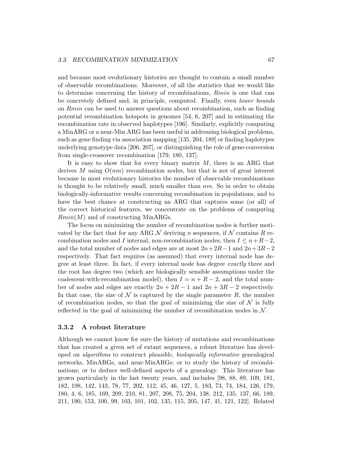and because most evolutionary histories are thought to contain a small number of observable recombinations. Moreover, of all the statistics that we would like to determine concerning the history of recombinations, Rmin is one that can be concretely defined and, in principle, computed. Finally, even lower bounds on Rmin can be used to answer questions about recombination, such as finding potential recombination hotspots in genomes [54, 6, 207] and in estimating the recombination rate in observed haplotypes [196]. Similarly, explicitly computing a MinARG or a near-Min ARG has been useful in addressing biological problems, such as gene finding via association mapping [135, 204, 189] or finding haplotypes underlying genotype data [206, 207], or distinguishing the role of gene-conversion from single-crossover recombination [179, 180, 137].

It is easy to show that for every binary matrix  $M$ , there is an ARG that derives M using  $O(nm)$  recombination nodes, but that is not of great interest because in most evolutionary histories the number of observable recombinations is thought to be relatively small, much smaller than  $nm$ . So in order to obtain biologically-informative results concerning recombination in populations, and to have the best chance at constructing an ARG that captures some (or all) of the correct historical features, we concentrate on the problems of computing  $Rmin(M)$  and of constructing MinARGs.

The focus on minimizing the number of recombination nodes is further motivated by the fact that for any ARG  $N$  deriving n sequences, if N contains R recombination nodes and I internal, non-recombination nodes, then  $I \leq n+R-2$ , and the total number of nodes and edges are at most  $2n+2R-1$  and  $2n+3R-2$ respectively. That fact requires (as assumed) that every internal node has degree at least three. In fact, if every internal node has degree exactly three and the root has degree two (which are biologically sensible assumptions under the coalescent-with-recombination model), then  $I = n + R - 2$ , and the total number of nodes and edges are exactly  $2n + 2R - 1$  and  $2n + 3R - 2$  respectively. In that case, the size of  $\mathcal N$  is captured by the single parameter R, the number of recombination nodes, so that the goal of minimizing the size of  $\mathcal N$  is fully reflected in the goal of minimizing the number of recombination nodes in  $\mathcal N$ .

#### 3.3.2 A robust literature

Although we cannot know for sure the history of mutations and recombinations that has created a given set of extant sequences, a robust literature has developed on algorithms to construct plausible, biologically informative genealogical networks, MinARGs, and near-MinARGs; or to study the history of recombinations; or to deduce well-defined aspects of a genealogy. This literature has grown particularly in the last twenty years, and includes [98, 88, 89, 109, 181, 182, 198, 142, 143, 78, 77, 202, 112, 45, 46, 127, 5, 183, 73, 74, 184, 126, 179, 180, 4, 6, 185, 169, 209, 210, 81, 207, 208, 75, 204, 138, 212, 135, 137, 66, 189, 211, 190, 153, 100, 99, 103, 101, 102, 135, 115, 205, 147, 41, 121, 122]. Related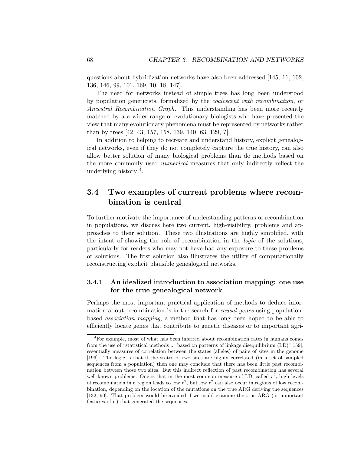questions about hybridization networks have also been addressed [145, 11, 102, 136, 146, 99, 101, 169, 10, 18, 147].

The need for networks instead of simple trees has long been understood by population geneticists, formalized by the coalescent with recombination, or Ancestral Recombination Graph. This understanding has been more recently matched by a a wider range of evolutionary biologists who have presented the view that many evolutionary phenomena must be represented by networks rather than by trees [42, 43, 157, 158, 139, 140, 63, 129, ?].

In addition to helping to recreate and understand history, explicit genealogical networks, even if they do not completely capture the true history, can also allow better solution of many biological problems than do methods based on the more commonly used numerical measures that only indirectly reflect the underlying history <sup>4</sup>.

## 3.4 Two examples of current problems where recombination is central

To further motivate the importance of understanding patterns of recombination in populations, we discuss here two current, high-visibility, problems and approaches to their solution. These two illustrations are highly simplified, with the intent of showing the role of recombination in the logic of the solutions, particularly for readers who may not have had any exposure to these problems or solutions. The first solution also illustrates the utility of computationally reconstructing explicit plausible genealogical networks.

#### 3.4.1 An idealized introduction to association mapping: one use for the true genealogical network

Perhaps the most important practical application of methods to deduce information about recombination is in the search for *causal genes* using populationbased association mapping, a method that has long been hoped to be able to efficiently locate genes that contribute to genetic diseases or to important agri-

<sup>4</sup>For example, most of what has been inferred about recombination rates in humans comes from the use of "statistical methods ... based on patterns of linkage disequilibrium (LD)"[159], essentially measures of correlation between the states (alleles) of pairs of sites in the genome [196]. The logic is that if the states of two sites are highly correlated (in a set of sampled sequences from a population) then one may conclude that there has been little past recombination between those two sites. But this indirect reflection of past recombination has several well-known problems. One is that in the most common measure of LD, called  $r^2$ , high levels of recombination in a region leads to low  $r^2$ , but low  $r^2$  can also occur in regions of low recombination, depending on the location of the mutations on the true ARG deriving the sequences [132, 90]. That problem would be avoided if we could examine the true ARG (or important features of it) that generated the sequences.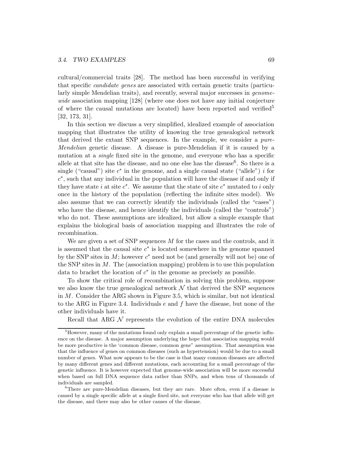cultural/commercial traits [28]. The method has been successful in verifying that specific candidate genes are associated with certain genetic traits (particularly simple Mendelian traits), and recently, several major successes in *genome*wide association mapping [128] (where one does not have any initial conjecture of where the causal mutations are located) have been reported and verified<sup>5</sup> [32, 173, 31].

In this section we discuss a very simplified, idealized example of association mapping that illustrates the utility of knowing the true genealogical network that derived the extant SNP sequences. In the example, we consider a pure-Mendelian genetic disease. A disease is pure-Mendelian if it is caused by a mutation at a single fixed site in the genome, and everyone who has a specific allele at that site has the disease, and no one else has the disease<sup>6</sup>. So there is a single ("causal") site  $c^*$  in the genome, and a single causal state ("allele") i for c∗, such that any individual in the population will have the disease if and only if they have state i at site c<sup>∗</sup>. We assume that the state of site c<sup>∗</sup> mutated to i only once in the history of the population (reflecting the infinite sites model). We also assume that we can correctly identify the individuals (called the "cases") who have the disease, and hence identify the individuals (called the "controls") who do not. These assumptions are idealized, but allow a simple example that explains the biological basis of association mapping and illustrates the role of recombination.

We are given a set of SNP sequences  $M$  for the cases and the controls, and it is assumed that the causal site  $c<sup>*</sup>$  is located somewhere in the genome spanned by the SNP sites in  $M$ ; however  $c^*$  need not be (and generally will not be) one of the SNP sites in  $M$ . The (association mapping) problem is to use this population data to bracket the location of  $c^*$  in the genome as precisely as possible.

To show the critical role of recombination in solving this problem, suppose we also know the true genealogical network  $\mathcal N$  that derived the SNP sequences in M. Consider the ARG shown in Figure 3.5, which is similar, but not identical to the ARG in Figure 3.4. Individuals e and f have the disease, but none of the other individuals have it.

Recall that ARG  $\mathcal N$  represents the evolution of the entire DNA molecules

<sup>&</sup>lt;sup>5</sup>However, many of the mutations found only explain a small percentage of the genetic influence on the disease. A major assumption underlying the hope that association mapping would be more productive is the 'common disease, common gene" assumption. That assumption was that the influence of genes on common diseases (such as hypertension) would be due to a small number of genes. What now appears to be the case is that many common diseases are affected by many different genes and different mutations, each accounting for a small percentage of the genetic influence. It is however expected that genome-wide association will be more successful when based on full DNA sequence data rather than SNPs, and when tens of thousands of individuals are sampled.

<sup>&</sup>lt;sup>6</sup>There are pure-Mendelian diseases, but they are rare. More often, even if a disease is caused by a single specific allele at a single fixed site, not everyone who has that allele will get the disease, and there may also be other causes of the disease.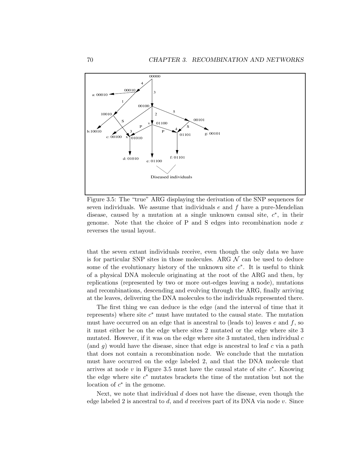

Figure 3.5: The "true" ARG displaying the derivation of the SNP sequences for seven individuals. We assume that individuals  $e$  and  $f$  have a pure-Mendelian disease, caused by a mutation at a single unknown causal site,  $c^*$ , in their genome. Note that the choice of P and S edges into recombination node  $x$ reverses the usual layout.

that the seven extant individuals receive, even though the only data we have is for particular SNP sites in those molecules. ARG  $\mathcal N$  can be used to deduce some of the evolutionary history of the unknown site  $c^*$ . It is useful to think of a physical DNA molecule originating at the root of the ARG and then, by replications (represented by two or more out-edges leaving a node), mutations and recombinations, descending and evolving through the ARG, finally arriving at the leaves, delivering the DNA molecules to the individuals represented there.

The first thing we can deduce is the edge (and the interval of time that it represents) where site  $c<sup>*</sup>$  must have mutated to the causal state. The mutation must have occurred on an edge that is ancestral to (leads to) leaves  $e$  and  $f$ , so it must either be on the edge where sites 2 mutated or the edge where site 3 mutated. However, if it was on the edge where site 3 mutated, then individual  $c$ (and q) would have the disease, since that edge is ancestral to leaf c via a path that does not contain a recombination node. We conclude that the mutation must have occurred on the edge labeled 2, and that the DNA molecule that arrives at node v in Figure 3.5 must have the causal state of site  $c^*$ . Knowing the edge where site  $c^*$  mutates brackets the time of the mutation but not the location of  $c^*$  in the genome.

Next, we note that individual  $d$  does not have the disease, even though the edge labeled 2 is ancestral to d, and d receives part of its DNA via node v. Since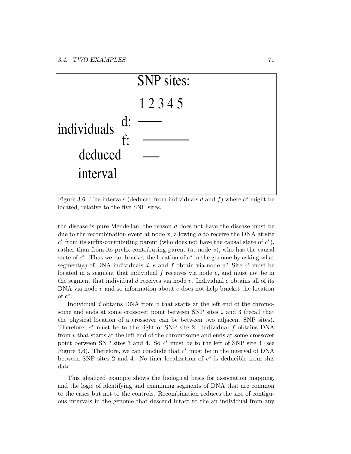

Figure 3.6: The intervals (deduced from individuals d and f) where  $c^*$  might be located, relative to the five SNP sites.

the disease is pure-Mendelian, the reason d does not have the disease must be due to the recombination event at node  $x$ , allowing  $d$  to receive the DNA at site  $c^*$  from its suffix-contributing parent (who does not have the causal state of  $c^*$ ), rather than from its prefix-contributing parent (at node  $v$ ), who has the causal state of  $c^*$ . Thus we can bracket the location of  $c^*$  in the genome by asking what segment(s) of DNA individuals d, e and f obtain via node v? Site  $c^*$  must be located in a segment that individual  $f$  receives via node  $v$ , and must not be in the segment that individual d receives via node  $v$ . Individual  $e$  obtains all of its  $DNA$  via node  $v$  and so information about  $e$  does not help bracket the location of  $c^*$ .

Individual d obtains DNA from  $v$  that starts at the left end of the chromosome and ends at some crossover point between SNP sites 2 and 3 (recall that the physical location of a crossover can be between two adjacent SNP sites). Therefore,  $c^*$  must be to the right of SNP site 2. Individual f obtains DNA from v that starts at the left end of the chromosome and ends at some crossover point between SNP sites 3 and 4. So  $c^*$  must be to the left of SNP site 4 (see Figure 3.6). Therefore, we can conclude that  $c^*$  must be in the interval of DNA between SNP sites 2 and 4. No finer localization of  $c^*$  is deducible from this data.

This idealized example shows the biological basis for association mapping, and the logic of identifying and examining segments of DNA that are common to the cases but not to the controls. Recombination reduces the size of contiguous intervals in the genome that descend intact to the an individual from any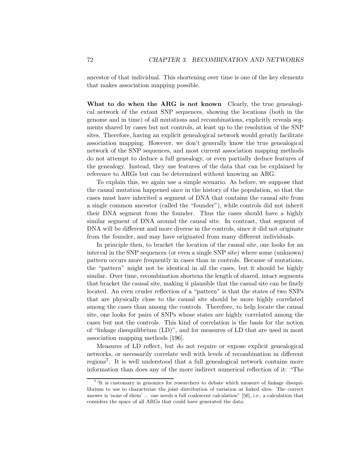ancestor of that individual. This shortening over time is one of the key elements that makes association mapping possible.

What to do when the ARG is not known Clearly, the true genealogical network of the extant SNP sequences, showing the locations (both in the genome and in time) of all mutations and recombinations, explicitly reveals segments shared by cases but not controls, at least up to the resolution of the SNP sites. Therefore, having an explicit genealogical network would greatly facilitate association mapping. However, we don't generally know the true genealogical network of the SNP sequences, and most current association mapping methods do not attempt to deduce a full genealogy, or even partially deduce features of the genealogy. Instead, they use features of the data that can be explained by reference to ARGs but can be determined without knowing an ARG.

To explain this, we again use a simple scenario. As before, we suppose that the causal mutation happened once in the history of the population, so that the cases must have inherited a segment of DNA that contains the causal site from a single common ancestor (called the "founder"), while controls did not inherit their DNA segment from the founder. Thus the cases should have a highly similar segment of DNA around the causal site. In contrast, that segment of DNA will be different and more diverse in the controls, since it did not originate from the founder, and may have originated from many different individuals.

In principle then, to bracket the location of the causal site, one looks for an interval in the SNP sequences (or even a single SNP site) where some (unknown) pattern occurs more frequently in cases than in controls. Because of mutations, the "pattern" might not be identical in all the cases, but it should be highly similar. Over time, recombination shortens the length of shared, intact segments that bracket the causal site, making it plausible that the casual site can be finely located. An even cruder reflection of a "pattern" is that the states of two SNPs that are physically close to the causal site should be more highly correlated among the cases than among the controls. Therefore, to help locate the causal site, one looks for pairs of SNPs whose states are highly correlated among the cases but not the controls. This kind of correlation is the basis for the notion of "linkage disequilibrium (LD)", and for measures of LD that are used in most association mapping methods [196].

Measures of LD reflect, but do not require or expose explicit genealogical networks, or necessarily correlate well with levels of recombination in different regions7. It is well understood that a full genealogical network contains more information than does any of the more indirect numerical reflection of it: "The

<sup>&</sup>lt;sup>7</sup>"It is customary in genomics for researchers to debate which measure of linkage disequilibrium to use to characterize the joint distribution of variation at linked sites. The correct answer is 'none of them' ... one needs a full coalescent calculation" [56], i.e., a calculation that considers the space of all ARGs that could have generated the data.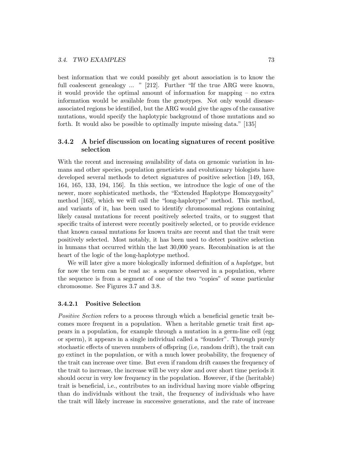best information that we could possibly get about association is to know the full coalescent genealogy ... " [212]. Further "If the true ARG were known, it would provide the optimal amount of information for mapping – no extra information would be available from the genotypes. Not only would diseaseassociated regions be identified, but the ARG would give the ages of the causative mutations, would specify the haplotypic background of those mutations and so forth. It would also be possible to optimally impute missing data." [135]

#### 3.4.2 A brief discussion on locating signatures of recent positive selection

With the recent and increasing availability of data on genomic variation in humans and other species, population geneticists and evolutionary biologists have developed several methods to detect signatures of positive selection [149, 163, 164, 165, 133, 194, 156]. In this section, we introduce the logic of one of the newer, more sophisticated methods, the "Extended Haplotype Homozygosity" method [163], which we will call the "long-haplotype" method. This method, and variants of it, has been used to identify chromosomal regions containing likely causal mutations for recent positively selected traits, or to suggest that specific traits of interest were recently positively selected, or to provide evidence that known causal mutations for known traits are recent and that the trait were positively selected. Most notably, it has been used to detect positive selection in humans that occurred within the last 30,000 years. Recombination is at the heart of the logic of the long-haplotype method.

We will later give a more biologically informed definition of a *haplotype*, but for now the term can be read as: a sequence observed in a population, where the sequence is from a segment of one of the two "copies" of some particular chromosome. See Figures 3.7 and 3.8.

#### 3.4.2.1 Positive Selection

Positive Section refers to a process through which a beneficial genetic trait becomes more frequent in a population. When a heritable genetic trait first appears in a population, for example through a mutation in a germ-line cell (egg or sperm), it appears in a single individual called a "founder". Through purely stochastic effects of uneven numbers of offspring (i.e, random drift), the trait can go extinct in the population, or with a much lower probability, the frequency of the trait can increase over time. But even if random drift causes the frequency of the trait to increase, the increase will be very slow and over short time periods it should occur in very low frequency in the population. However, if the (heritable) trait is beneficial, i.e., contributes to an individual having more viable offspring than do individuals without the trait, the frequency of individuals who have the trait will likely increase in successive generations, and the rate of increase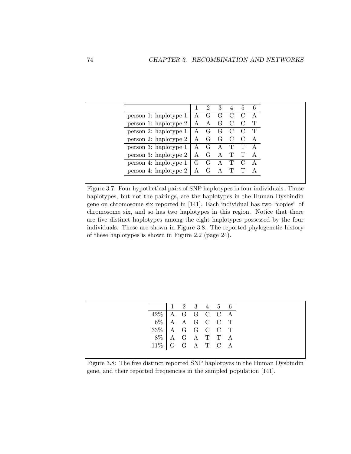|                                                            |   | 2 | $\overline{\mathbf{3}}$ | 5 |   |
|------------------------------------------------------------|---|---|-------------------------|---|---|
| person 1: haplotype $1 \mid A \cap G \cap C \cap C$        |   |   |                         |   |   |
| person 1: haplotype $2 \mid A \cap A \cap C$               |   |   |                         |   |   |
| person 2: haplotype $1 \mid A \cap G \cap C \cap C \cap T$ |   |   |                         |   |   |
| person 2: haplotype $2 \mid A \cap G \cap C \cap C$        |   |   |                         |   | A |
| person 3: haplotype $1   A \ G \ A \ T \ T \ A$            |   |   |                         |   |   |
| person 3: haplotype $2 \mid A \cap G$                      |   |   | A T T                   |   |   |
| person 4: haplotype $1 \mid G \cap G \cap A \cap T \cap C$ |   |   |                         |   |   |
| person 4: haplotype 2                                      | A |   |                         |   |   |

Figure 3.7: Four hypothetical pairs of SNP haplotypes in four individuals. These haplotypes, but not the pairings, are the haplotypes in the Human Dysbindin gene on chromosome six reported in [141]. Each individual has two "copies" of chromosome six, and so has two haplotypes in this region. Notice that there are five distinct haplotypes among the eight haplotypes possessed by the four individuals. These are shown in Figure 3.8. The reported phylogenetic history of these haplotypes is shown in Figure 2.2 (page 24).

|                      |                | $1\quad 2\quad 3\quad 4\quad 5\quad 6$ |  |  |
|----------------------|----------------|----------------------------------------|--|--|
| $42\%$   A G G C C A |                |                                        |  |  |
|                      | 6% A A G C C T |                                        |  |  |
| $33\%$ A G G C C T   |                |                                        |  |  |
|                      | 8% A G A T T A |                                        |  |  |
| $11\%$ G G A T C A   |                |                                        |  |  |
|                      |                |                                        |  |  |

Figure 3.8: The five distinct reported SNP haplotpyes in the Human Dysbindin gene, and their reported frequencies in the sampled population [141].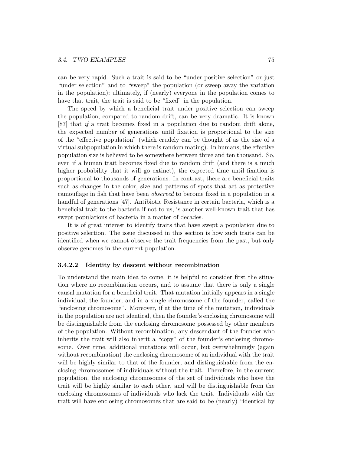can be very rapid. Such a trait is said to be "under positive selection" or just "under selection" and to "sweep" the population (or sweep away the variation in the population); ultimately, if (nearly) everyone in the population comes to have that trait, the trait is said to be "fixed" in the population.

The speed by which a beneficial trait under positive selection can sweep the population, compared to random drift, can be very dramatic. It is known [87] that if a trait becomes fixed in a population due to random drift alone, the expected number of generations until fixation is proportional to the size of the "effective population" (which crudely can be thought of as the size of a virtual subpopulation in which there is random mating). In humans, the effective population size is believed to be somewhere between three and ten thousand. So, even if a human trait becomes fixed due to random drift (and there is a much higher probability that it will go extinct), the expected time until fixation is proportional to thousands of generations. In contrast, there are beneficial traits such as changes in the color, size and patterns of spots that act as protective camouflage in fish that have been observed to become fixed in a population in a handful of generations [47]. Antibiotic Resistance in certain bacteria, which is a beneficial trait to the bacteria if not to us, is another well-known trait that has swept populations of bacteria in a matter of decades.

It is of great interest to identify traits that have swept a population due to positive selection. The issue discussed in this section is how such traits can be identified when we cannot observe the trait frequencies from the past, but only observe genomes in the current population.

#### 3.4.2.2 Identity by descent without recombination

To understand the main idea to come, it is helpful to consider first the situation where no recombination occurs, and to assume that there is only a single causal mutation for a beneficial trait. That mutation initially appears in a single individual, the founder, and in a single chromosome of the founder, called the "enclosing chromosome". Moreover, if at the time of the mutation, individuals in the population are not identical, then the founder's enclosing chromosome will be distinguishable from the enclosing chromosome possessed by other members of the population. Without recombination, any descendant of the founder who inherits the trait will also inherit a "copy" of the founder's enclosing chromosome. Over time, additional mutations will occur, but overwhelmingly (again without recombination) the enclosing chromosome of an individual with the trait will be highly similar to that of the founder, and distinguishable from the enclosing chromosomes of individuals without the trait. Therefore, in the current population, the enclosing chromosomes of the set of individuals who have the trait will be highly similar to each other, and will be distinguishable from the enclosing chromosomes of individuals who lack the trait. Individuals with the trait will have enclosing chromosomes that are said to be (nearly) "identical by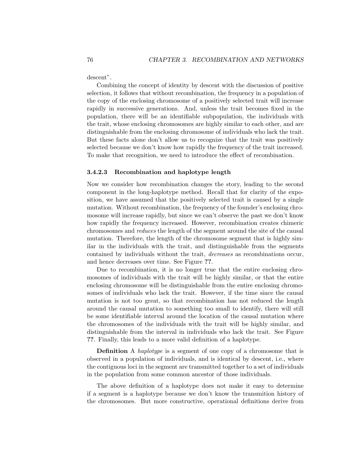descent".

Combining the concept of identity by descent with the discussion of positive selection, it follows that without recombination, the frequency in a population of the copy of the enclosing chromosome of a positively selected trait will increase rapidly in successive generations. And, unless the trait becomes fixed in the population, there will be an identifiable subpopulation, the individuals with the trait, whose enclosing chromosomes are highly similar to each other, and are distinguishable from the enclosing chromosome of individuals who lack the trait. But these facts alone don't allow us to recognize that the trait was positively selected because we don't know how rapidly the frequency of the trait increased. To make that recognition, we need to introduce the effect of recombination.

#### 3.4.2.3 Recombination and haplotype length

Now we consider how recombination changes the story, leading to the second component in the long-haplotype method. Recall that for clarity of the exposition, we have assumed that the positively selected trait is caused by a single mutation. Without recombination, the frequency of the founder's enclosing chromosome will increase rapidly, but since we can't observe the past we don't know how rapidly the frequency increased. However, recombination creates chimeric chromosomes and reduces the length of the segment around the site of the causal mutation. Therefore, the length of the chromosome segment that is highly similar in the individuals with the trait, and distinguishable from the segments contained by individuals without the trait, decreases as recombinations occur, and hence decreases over time. See Figure ??.

Due to recombination, it is no longer true that the entire enclosing chromosomes of individuals with the trait will be highly similar, or that the entire enclosing chromosome will be distinguishable from the entire enclosing chromosomes of individuals who lack the trait. However, if the time since the causal mutation is not too great, so that recombination has not reduced the length around the causal mutation to something too small to identify, there will still be some identifiable interval around the location of the causal mutation where the chromosomes of the individuals with the trait will be highly similar, and distinguishable from the interval in individuals who lack the trait. See Figure ??. Finally, this leads to a more valid definition of a haplotype.

Definition A haplotype is a segment of one copy of a chromosome that is observed in a population of individuals, and is identical by descent, i.e., where the contiguous loci in the segment are transmitted together to a set of individuals in the population from some common ancestor of those individuals.

The above definition of a haplotype does not make it easy to determine if a segment is a haplotype because we don't know the transmition history of the chromosomes. But more constructive, operational definitions derive from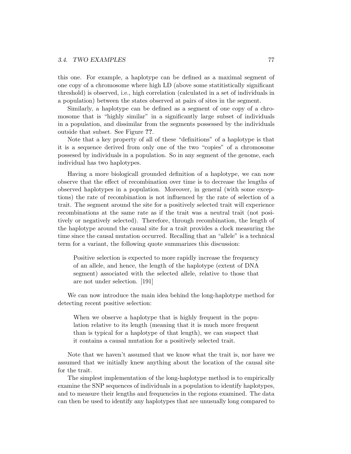this one. For example, a haplotype can be defined as a maximal segment of one copy of a chromosome where high LD (above some statitistically significant threshold) is observed, i.e., high correlation (calculated in a set of individuals in a population) between the states observed at pairs of sites in the segment.

Similarly, a haplotype can be defined as a segment of one copy of a chromosome that is "highly similar" in a significantly large subset of individuals in a population, and dissimilar from the segments possessed by the individuals outside that subset. See Figure ??.

Note that a key property of all of these "definitions" of a haplotype is that it is a sequence derived from only one of the two "copies" of a chromosome possesed by individuals in a population. So in any segment of the genome, each individual has two haplotypes.

Having a more biologicall grounded definition of a haplotype, we can now observe that the effect of recombination over time is to decrease the lengths of observed haplotypes in a population. Moreover, in general (with some exceptions) the rate of recombination is not influenced by the rate of selection of a trait. The segment around the site for a positively selected trait will experience recombinations at the same rate as if the trait was a neutral trait (not positively or negatively selected). Therefore, through recombination, the length of the haplotype around the causal site for a trait provides a clock measuring the time since the causal mutation occurred. Recalling that an "allele" is a technical term for a variant, the following quote summarizes this discussion:

Positive selection is expected to more rapidly increase the frequency of an allele, and hence, the length of the haplotype (extent of DNA segment) associated with the selected allele, relative to those that are not under selection. [191]

We can now introduce the main idea behind the long-haplotype method for detecting recent positive selection:

When we observe a haplotype that is highly frequent in the population relative to its length (meaning that it is much more frequent than is typical for a haplotype of that length), we can suspect that it contains a causal mutation for a positively selected trait.

Note that we haven't assumed that we know what the trait is, nor have we assumed that we initially knew anything about the location of the causal site for the trait.

The simplest implementation of the long-haplotype method is to empirically examine the SNP sequences of individuals in a population to identify haplotypes, and to measure their lengths and frequencies in the regions examined. The data can then be used to identify any haplotypes that are unusually long compared to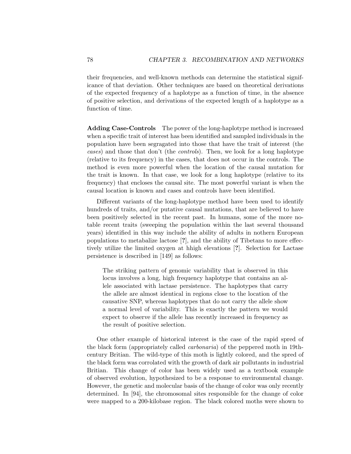their frequencies, and well-known methods can determine the statistical significance of that deviation. Other techniques are based on theoretical derivations of the expected frequency of a haplotype as a function of time, in the absence of positive selection, and derivations of the expected length of a haplotype as a function of time.

Adding Case-Controls The power of the long-haplotype method is increased when a specific trait of interest has been identified and sampled individuals in the population have been segragated into those that have the trait of interest (the cases) and those that don't (the controls). Then, we look for a long haplotype (relative to its frequency) in the cases, that does not occur in the controls. The method is even more powerful when the location of the causal mutation for the trait is known. In that case, we look for a long haplotype (relative to its frequency) that encloses the causal site. The most powerful variant is when the causal location is known and cases and controls have been identified.

Different variants of the long-haplotype method have been used to identify hundreds of traits, and/or putative causal mutations, that are believed to have been positively selected in the recent past. In humans, some of the more notable recent traits (sweeping the population within the last several thousand years) identified in this way include the ability of adults in nothern European populations to metabalize lactose [?], and the ability of Tibetans to more effectively utilize the limited oxygen at hhigh elevations [?]. Selection for Lactase persistence is described in [149] as follows:

The striking pattern of genomic variability that is observed in this locus involves a long, high frequency haplotype that contains an allele associated with lactase persistence. The haplotypes that carry the allele are almost identical in regions close to the location of the causative SNP, whereas haplotypes that do not carry the allele show a normal level of variability. This is exactly the pattern we would expect to observe if the allele has recently increased in frequency as the result of positive selection.

One other example of historical interest is the case of the rapid spred of the black form (appropriately called carbonaria) of the peppered moth in 19thcentury Britian. The wild-type of this moth is lightly colored, and the spred of the black form was corrolated with the growth of dark air pollutants in industrial Britian. This change of color has been widely used as a textbook example of observed evolution, hypothesized to be a response to environmental change. However, the genetic and molecular basis of the change of color was only recently determined. In [94], the chromosomal sites responsible for the change of color were mapped to a 200-kilobase region. The black colored moths were shown to